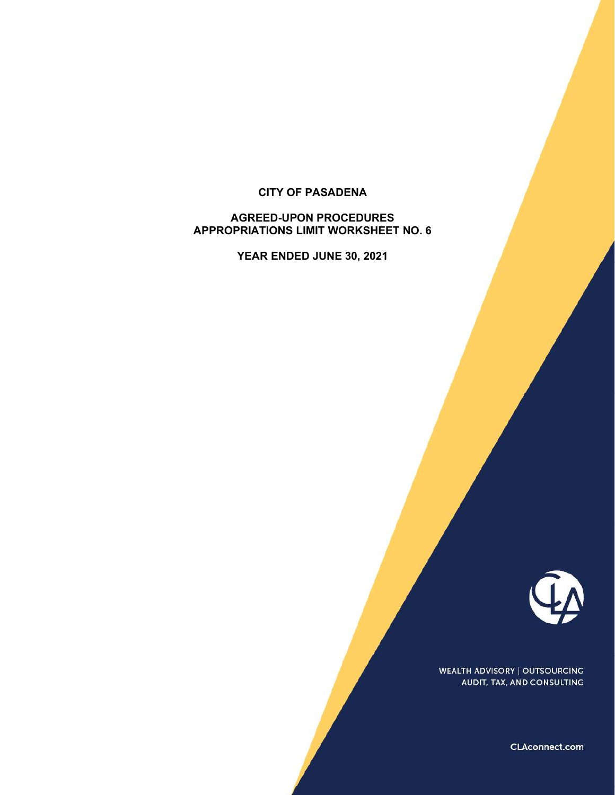## CITY OF PASADENA

# AGREED-UPON PROCEDURES APPROPRIATIONS LIMIT WORKSHEET NO. 6

YEAR ENDED JUNE 30, 2021



WEALTH ADVISORY | OUTSOURCING AUDIT, TAX, AND CONSULTING

**CLAconnect.com**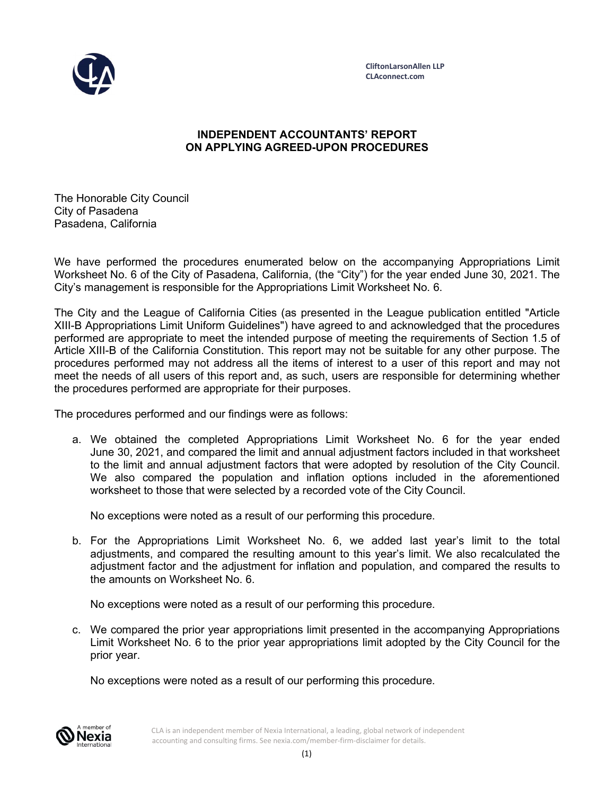

## INDEPENDENT ACCOUNTANTS' REPORT ON APPLYING AGREED-UPON PROCEDURES

The Honorable City Council City of Pasadena Pasadena, California

We have performed the procedures enumerated below on the accompanying Appropriations Limit Worksheet No. 6 of the City of Pasadena, California, (the "City") for the year ended June 30, 2021. The City's management is responsible for the Appropriations Limit Worksheet No. 6.

The City and the League of California Cities (as presented in the League publication entitled "Article XIII-B Appropriations Limit Uniform Guidelines") have agreed to and acknowledged that the procedures performed are appropriate to meet the intended purpose of meeting the requirements of Section 1.5 of Article XIII-B of the California Constitution. This report may not be suitable for any other purpose. The procedures performed may not address all the items of interest to a user of this report and may not meet the needs of all users of this report and, as such, users are responsible for determining whether the procedures performed are appropriate for their purposes.

The procedures performed and our findings were as follows:

a. We obtained the completed Appropriations Limit Worksheet No. 6 for the year ended June 30, 2021, and compared the limit and annual adjustment factors included in that worksheet to the limit and annual adjustment factors that were adopted by resolution of the City Council. We also compared the population and inflation options included in the aforementioned worksheet to those that were selected by a recorded vote of the City Council.

No exceptions were noted as a result of our performing this procedure.

b. For the Appropriations Limit Worksheet No. 6, we added last year's limit to the total adjustments, and compared the resulting amount to this year's limit. We also recalculated the adjustment factor and the adjustment for inflation and population, and compared the results to the amounts on Worksheet No. 6.

No exceptions were noted as a result of our performing this procedure.

c. We compared the prior year appropriations limit presented in the accompanying Appropriations Limit Worksheet No. 6 to the prior year appropriations limit adopted by the City Council for the prior year.

No exceptions were noted as a result of our performing this procedure.



CLA is an independent member of Nexia International, a leading, global network of independent accounting and consulting firms. See nexia.com/member-firm-disclaimer for details.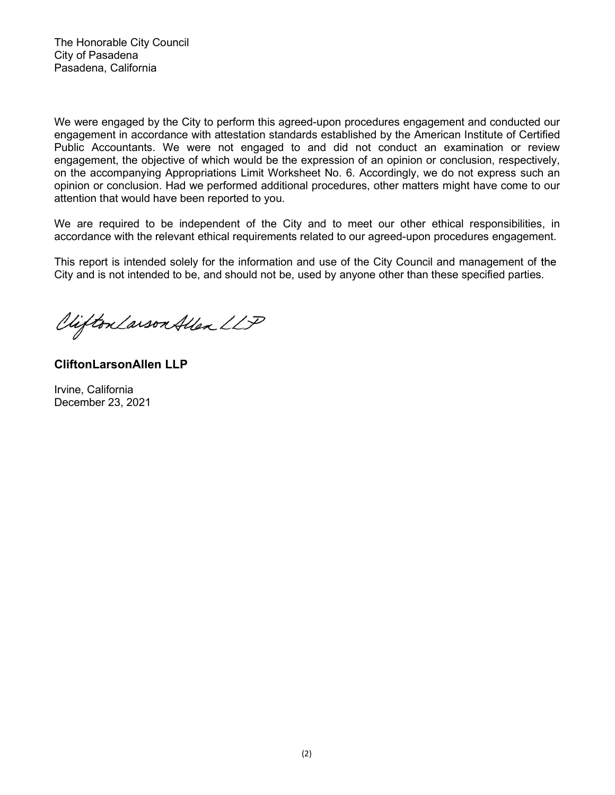We were engaged by the City to perform this agreed-upon procedures engagement and conducted our engagement in accordance with attestation standards established by the American Institute of Certified Public Accountants. We were not engaged to and did not conduct an examination or review engagement, the objective of which would be the expression of an opinion or conclusion, respectively, on the accompanying Appropriations Limit Worksheet No. 6. Accordingly, we do not express such an opinion or conclusion. Had we performed additional procedures, other matters might have come to our attention that would have been reported to you.

We are required to be independent of the City and to meet our other ethical responsibilities, in accordance with the relevant ethical requirements related to our agreed-upon procedures engagement.

This report is intended solely for the information and use of the City Council and management of the City and is not intended to be, and should not be, used by anyone other than these specified parties.

Clifton Larson Allen LLP

CliftonLarsonAllen LLP

Irvine, California December 23, 2021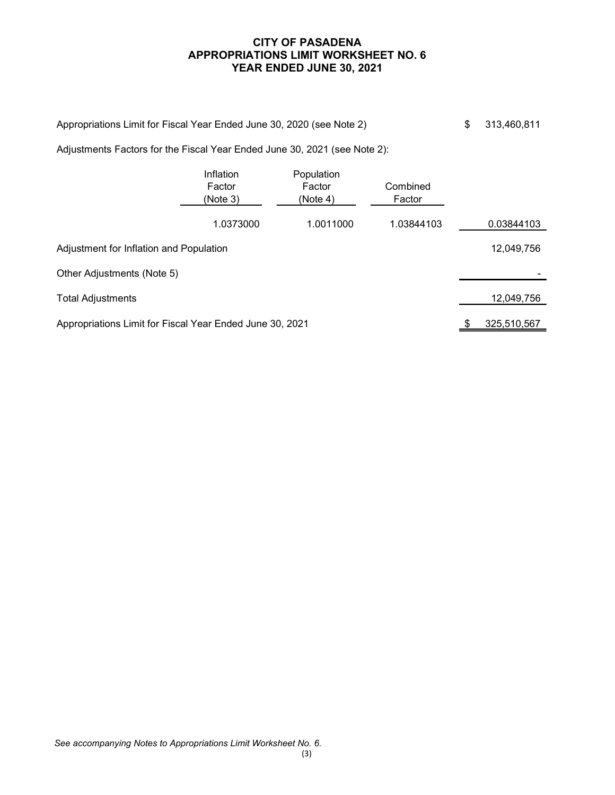## CITY OF PASADENA APPROPRIATIONS LIMIT WORKSHEET NO. 6 YEAR ENDED JUNE 30, 2021

| Appropriations Limit for Fiscal Year Ended June 30, 2020 (see Note 2) | \$313,460,811 |
|-----------------------------------------------------------------------|---------------|
|                                                                       |               |

Adjustments Factors for the Fiscal Year Ended June 30, 2021 (see Note 2):

|                                                          | Inflation<br>Factor<br>(Note 3) | Population<br>Factor<br>(Note 4) | Combined<br>Factor |             |
|----------------------------------------------------------|---------------------------------|----------------------------------|--------------------|-------------|
|                                                          | 1.0373000                       | 1.0011000                        | 1.03844103         | 0.03844103  |
| Adjustment for Inflation and Population                  |                                 |                                  |                    | 12,049,756  |
| Other Adjustments (Note 5)                               |                                 |                                  |                    |             |
| <b>Total Adjustments</b>                                 |                                 |                                  |                    | 12,049,756  |
| Appropriations Limit for Fiscal Year Ended June 30, 2021 |                                 |                                  |                    | 325,510,567 |